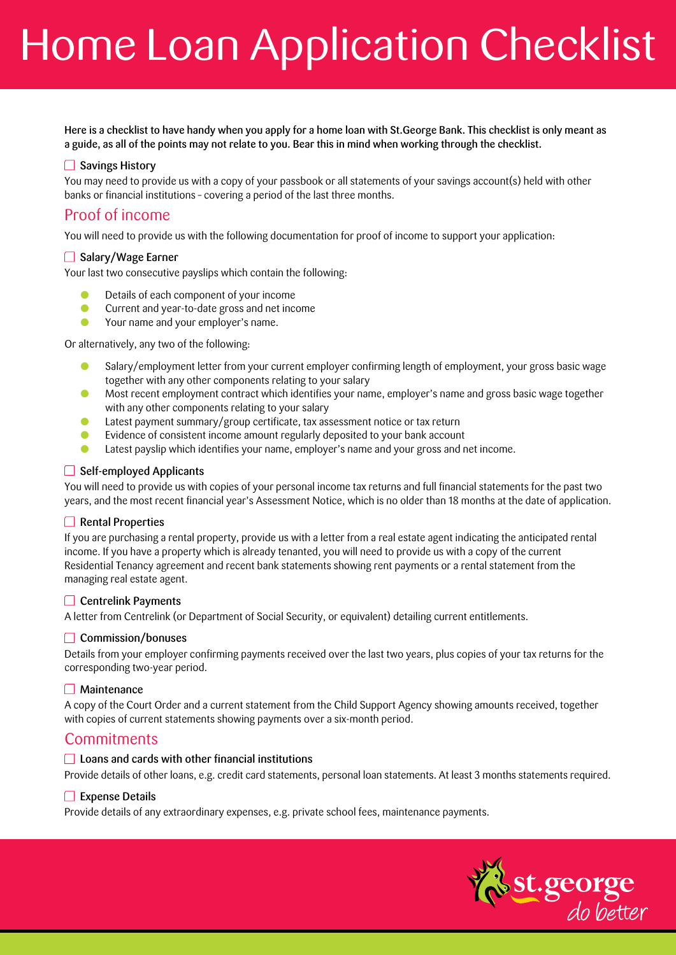# Home Loan Application Checklist

Here is a checklist to have handy when you apply for a home loan with St.George Bank. This checklist is only meant as a guide, as all of the points may not relate to you. Bear this in mind when working through the checklist.

### **□ Savings History**

You may need to provide us with a copy of your passbook or all statements of your savings account(s) held with other banks or financial institutions – covering a period of the last three months.

# Proof of income

You will need to provide us with the following documentation for proof of income to support your application:

#### □ Salary/Wage Earner

Your last two consecutive payslips which contain the following:

- Details of each component of your income
- **Current and year-to-date gross and net income**
- **In Providing Your and your employer's name.**

Or alternatively, any two of the following:

- **In Salary/employment letter from your current employer confirming length of employment, your gross basic wage** together with any other components relating to your salary
- **In** Most recent employment contract which identifies your name, employer's name and gross basic wage together with any other components relating to your salary
- $\bullet$  Latest payment summary/group certificate, tax assessment notice or tax return
- **E** Evidence of consistent income amount regularly deposited to your bank account
- **IDENT Latest payslip which identifies your name, employer's name and your gross and net income.**

#### $\Box$  Self-employed Applicants

You will need to provide us with copies of your personal income tax returns and full financial statements for the past two years, and the most recent financial year's Assessment Notice, which is no older than 18 months at the date of application.

#### Rental Properties

If you are purchasing a rental property, provide us with a letter from a real estate agent indicating the anticipated rental income. If you have a property which is already tenanted, you will need to provide us with a copy of the current Residential Tenancy agreement and recent bank statements showing rent payments or a rental statement from the managing real estate agent.

#### $\Box$  Centrelink Payments

A letter from Centrelink (or Department of Social Security, or equivalent) detailing current entitlements.

#### **□ Commission/bonuses**

Details from your employer confirming payments received over the last two years, plus copies of your tax returns for the corresponding two-year period.

#### $\Box$  Maintenance

A copy of the Court Order and a current statement from the Child Support Agency showing amounts received, together with copies of current statements showing payments over a six-month period.

## **Commitments**

#### $\Box$  Loans and cards with other financial institutions

Provide details of other loans, e.g. credit card statements, personal loan statements. At least 3 months statements required.

#### $\Box$  Expense Details

Provide details of any extraordinary expenses, e.g. private school fees, maintenance payments.